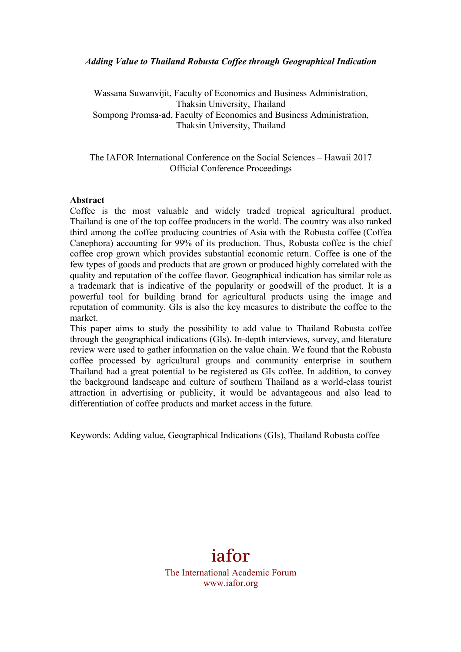# *Adding Value to Thailand Robusta Coffee through Geographical Indication*

Wassana Suwanvijit, Faculty of Economics and Business Administration, Thaksin University, Thailand Sompong Promsa-ad, Faculty of Economics and Business Administration, Thaksin University, Thailand

The IAFOR International Conference on the Social Sciences – Hawaii 2017 Official Conference Proceedings

#### **Abstract**

Coffee is the most valuable and widely traded tropical agricultural product. Thailand is one of the top coffee producers in the world. The country was also ranked third among the coffee producing countries of Asia with the Robusta coffee (Coffea Canephora) accounting for 99% of its production. Thus, Robusta coffee is the chief coffee crop grown which provides substantial economic return. Coffee is one of the few types of goods and products that are grown or produced highly correlated with the quality and reputation of the coffee flavor. Geographical indication has similar role as a trademark that is indicative of the popularity or goodwill of the product. It is a powerful tool for building brand for agricultural products using the image and reputation of community. GIs is also the key measures to distribute the coffee to the market.

This paper aims to study the possibility to add value to Thailand Robusta coffee through the geographical indications (GIs). In-depth interviews, survey, and literature review were used to gather information on the value chain. We found that the Robusta coffee processed by agricultural groups and community enterprise in southern Thailand had a great potential to be registered as GIs coffee. In addition, to convey the background landscape and culture of southern Thailand as a world-class tourist attraction in advertising or publicity, it would be advantageous and also lead to differentiation of coffee products and market access in the future.

Keywords: Adding value**,** Geographical Indications (GIs), Thailand Robusta coffee

# iafor

The International Academic Forum www.iafor.org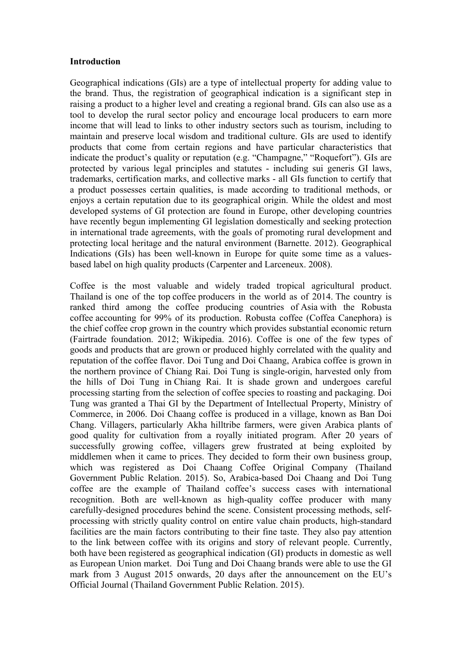#### **Introduction**

Geographical indications (GIs) are a type of intellectual property for adding value to the brand. Thus, the registration of geographical indication is a significant step in raising a product to a higher level and creating a regional brand. GIs can also use as a tool to develop the rural sector policy and encourage local producers to earn more income that will lead to links to other industry sectors such as tourism, including to maintain and preserve local wisdom and traditional culture. GIs are used to identify products that come from certain regions and have particular characteristics that indicate the product's quality or reputation (e.g. "Champagne," "Roquefort"). GIs are protected by various legal principles and statutes - including sui generis GI laws, trademarks, certification marks, and collective marks - all GIs function to certify that a product possesses certain qualities, is made according to traditional methods, or enjoys a certain reputation due to its geographical origin. While the oldest and most developed systems of GI protection are found in Europe, other developing countries have recently begun implementing GI legislation domestically and seeking protection in international trade agreements, with the goals of promoting rural development and protecting local heritage and the natural environment (Barnette. 2012). Geographical Indications (GIs) has been well-known in Europe for quite some time as a valuesbased label on high quality products (Carpenter and Larceneux. 2008).

Coffee is the most valuable and widely traded tropical agricultural product. Thailand is one of the top coffee producers in the world as of 2014. The country is ranked third among the coffee producing countries of Asia with the Robusta coffee accounting for 99% of its production. Robusta coffee (Coffea Canephora) is the chief coffee crop grown in the country which provides substantial economic return (Fairtrade foundation. 2012; Wikipedia. 2016). Coffee is one of the few types of goods and products that are grown or produced highly correlated with the quality and reputation of the coffee flavor. Doi Tung and Doi Chaang, Arabica coffee is grown in the northern province of Chiang Rai. Doi Tung is single-origin, harvested only from the hills of Doi Tung in Chiang Rai. It is shade grown and undergoes careful processing starting from the selection of coffee species to roasting and packaging. Doi Tung was granted a Thai GI by the Department of Intellectual Property, Ministry of Commerce, in 2006. Doi Chaang coffee is produced in a village, known as Ban Doi Chang. Villagers, particularly Akha hilltribe farmers, were given Arabica plants of good quality for cultivation from a royally initiated program. After 20 years of successfully growing coffee, villagers grew frustrated at being exploited by middlemen when it came to prices. They decided to form their own business group, which was registered as Doi Chaang Coffee Original Company (Thailand Government Public Relation. 2015). So, Arabica-based Doi Chaang and Doi Tung coffee are the example of Thailand coffee's success cases with international recognition. Both are well-known as high-quality coffee producer with many carefully-designed procedures behind the scene. Consistent processing methods, selfprocessing with strictly quality control on entire value chain products, high-standard facilities are the main factors contributing to their fine taste. They also pay attention to the link between coffee with its origins and story of relevant people. Currently, both have been registered as geographical indication (GI) products in domestic as well as European Union market. Doi Tung and Doi Chaang brands were able to use the GI mark from 3 August 2015 onwards, 20 days after the announcement on the EU's Official Journal (Thailand Government Public Relation. 2015).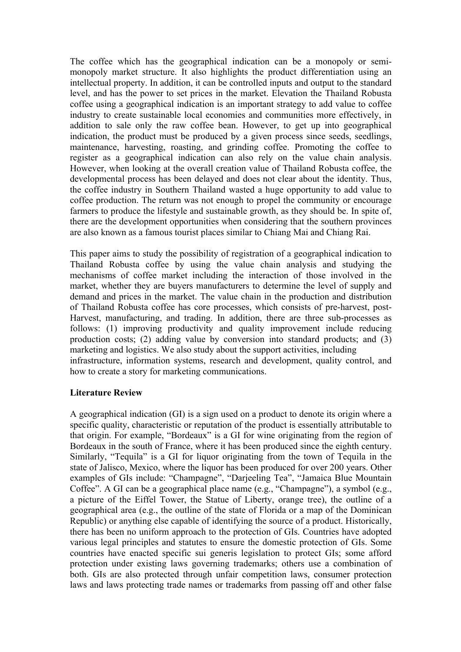The coffee which has the geographical indication can be a monopoly or semimonopoly market structure. It also highlights the product differentiation using an intellectual property. In addition, it can be controlled inputs and output to the standard level, and has the power to set prices in the market. Elevation the Thailand Robusta coffee using a geographical indication is an important strategy to add value to coffee industry to create sustainable local economies and communities more effectively, in addition to sale only the raw coffee bean. However, to get up into geographical indication, the product must be produced by a given process since seeds, seedlings, maintenance, harvesting, roasting, and grinding coffee. Promoting the coffee to register as a geographical indication can also rely on the value chain analysis. However, when looking at the overall creation value of Thailand Robusta coffee, the developmental process has been delayed and does not clear about the identity. Thus, the coffee industry in Southern Thailand wasted a huge opportunity to add value to coffee production. The return was not enough to propel the community or encourage farmers to produce the lifestyle and sustainable growth, as they should be. In spite of, there are the development opportunities when considering that the southern provinces are also known as a famous tourist places similar to Chiang Mai and Chiang Rai.

This paper aims to study the possibility of registration of a geographical indication to Thailand Robusta coffee by using the value chain analysis and studying the mechanisms of coffee market including the interaction of those involved in the market, whether they are buyers manufacturers to determine the level of supply and demand and prices in the market. The value chain in the production and distribution of Thailand Robusta coffee has core processes, which consists of pre-harvest, post-Harvest, manufacturing, and trading. In addition, there are three sub-processes as follows: (1) improving productivity and quality improvement include reducing production costs; (2) adding value by conversion into standard products; and (3) marketing and logistics. We also study about the support activities, including

infrastructure, information systems, research and development, quality control, and how to create a story for marketing communications.

# **Literature Review**

A geographical indication (GI) is a sign used on a product to denote its origin where a specific quality, characteristic or reputation of the product is essentially attributable to that origin. For example, "Bordeaux" is a GI for wine originating from the region of Bordeaux in the south of France, where it has been produced since the eighth century. Similarly, "Tequila" is a GI for liquor originating from the town of Tequila in the state of Jalisco, Mexico, where the liquor has been produced for over 200 years. Other examples of GIs include: "Champagne", "Darjeeling Tea", "Jamaica Blue Mountain Coffee". A GI can be a geographical place name (e.g., "Champagne"), a symbol (e.g., a picture of the Eiffel Tower, the Statue of Liberty, orange tree), the outline of a geographical area (e.g., the outline of the state of Florida or a map of the Dominican Republic) or anything else capable of identifying the source of a product. Historically, there has been no uniform approach to the protection of GIs. Countries have adopted various legal principles and statutes to ensure the domestic protection of GIs. Some countries have enacted specific sui generis legislation to protect GIs; some afford protection under existing laws governing trademarks; others use a combination of both. GIs are also protected through unfair competition laws, consumer protection laws and laws protecting trade names or trademarks from passing off and other false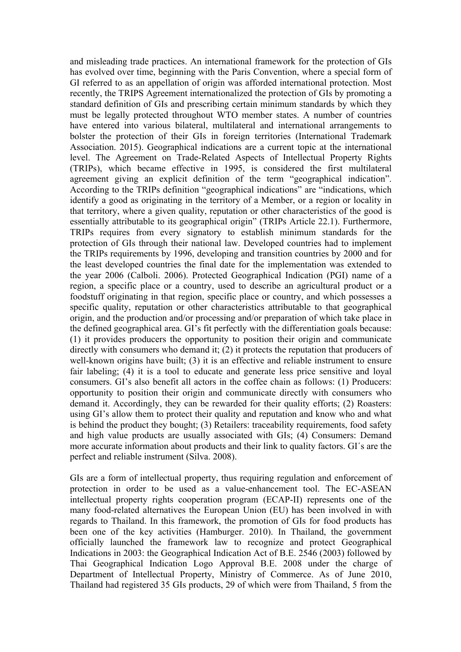and misleading trade practices. An international framework for the protection of GIs has evolved over time, beginning with the Paris Convention, where a special form of GI referred to as an appellation of origin was afforded international protection. Most recently, the TRIPS Agreement internationalized the protection of GIs by promoting a standard definition of GIs and prescribing certain minimum standards by which they must be legally protected throughout WTO member states. A number of countries have entered into various bilateral, multilateral and international arrangements to bolster the protection of their GIs in foreign territories (International Trademark Association. 2015). Geographical indications are a current topic at the international level. The Agreement on Trade-Related Aspects of Intellectual Property Rights (TRIPs), which became effective in 1995, is considered the first multilateral agreement giving an explicit definition of the term "geographical indication". According to the TRIPs definition "geographical indications" are "indications, which identify a good as originating in the territory of a Member, or a region or locality in that territory, where a given quality, reputation or other characteristics of the good is essentially attributable to its geographical origin" (TRIPs Article 22.1). Furthermore, TRIPs requires from every signatory to establish minimum standards for the protection of GIs through their national law. Developed countries had to implement the TRIPs requirements by 1996, developing and transition countries by 2000 and for the least developed countries the final date for the implementation was extended to the year 2006 (Calboli. 2006). Protected Geographical Indication (PGI) name of a region, a specific place or a country, used to describe an agricultural product or a foodstuff originating in that region, specific place or country, and which possesses a specific quality, reputation or other characteristics attributable to that geographical origin, and the production and/or processing and/or preparation of which take place in the defined geographical area. GI's fit perfectly with the differentiation goals because: (1) it provides producers the opportunity to position their origin and communicate directly with consumers who demand it; (2) it protects the reputation that producers of well-known origins have built; (3) it is an effective and reliable instrument to ensure fair labeling; (4) it is a tool to educate and generate less price sensitive and loyal consumers. GI's also benefit all actors in the coffee chain as follows: (1) Producers: opportunity to position their origin and communicate directly with consumers who demand it. Accordingly, they can be rewarded for their quality efforts; (2) Roasters: using GI's allow them to protect their quality and reputation and know who and what is behind the product they bought; (3) Retailers: traceability requirements, food safety and high value products are usually associated with GIs; (4) Consumers: Demand more accurate information about products and their link to quality factors. GI´s are the perfect and reliable instrument (Silva. 2008).

GIs are a form of intellectual property, thus requiring regulation and enforcement of protection in order to be used as a value-enhancement tool. The EC-ASEAN intellectual property rights cooperation program (ECAP-II) represents one of the many food-related alternatives the European Union (EU) has been involved in with regards to Thailand. In this framework, the promotion of GIs for food products has been one of the key activities (Hamburger. 2010). In Thailand, the government officially launched the framework law to recognize and protect Geographical Indications in 2003: the Geographical Indication Act of B.E. 2546 (2003) followed by Thai Geographical Indication Logo Approval B.E. 2008 under the charge of Department of Intellectual Property, Ministry of Commerce. As of June 2010, Thailand had registered 35 GIs products, 29 of which were from Thailand, 5 from the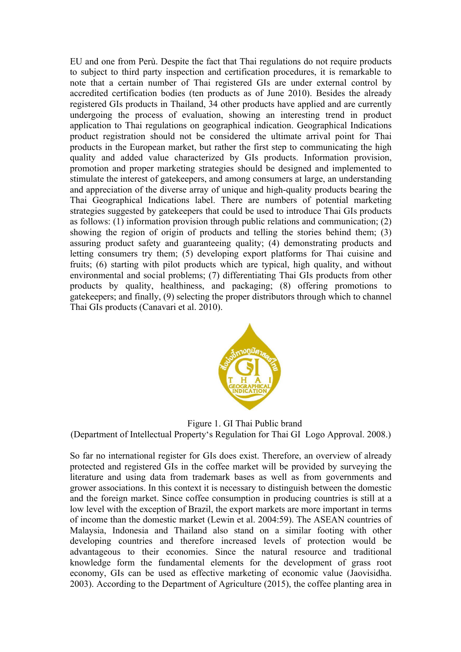EU and one from Perù. Despite the fact that Thai regulations do not require products to subject to third party inspection and certification procedures, it is remarkable to note that a certain number of Thai registered GIs are under external control by accredited certification bodies (ten products as of June 2010). Besides the already registered GIs products in Thailand, 34 other products have applied and are currently undergoing the process of evaluation, showing an interesting trend in product application to Thai regulations on geographical indication. Geographical Indications product registration should not be considered the ultimate arrival point for Thai products in the European market, but rather the first step to communicating the high quality and added value characterized by GIs products. Information provision, promotion and proper marketing strategies should be designed and implemented to stimulate the interest of gatekeepers, and among consumers at large, an understanding and appreciation of the diverse array of unique and high-quality products bearing the Thai Geographical Indications label. There are numbers of potential marketing strategies suggested by gatekeepers that could be used to introduce Thai GIs products as follows: (1) information provision through public relations and communication; (2) showing the region of origin of products and telling the stories behind them; (3) assuring product safety and guaranteeing quality; (4) demonstrating products and letting consumers try them; (5) developing export platforms for Thai cuisine and fruits; (6) starting with pilot products which are typical, high quality, and without environmental and social problems; (7) differentiating Thai GIs products from other products by quality, healthiness, and packaging; (8) offering promotions to gatekeepers; and finally, (9) selecting the proper distributors through which to channel Thai GIs products (Canavari et al. 2010).



Figure 1. GI Thai Public brand (Department of Intellectual Property's Regulation for Thai GI Logo Approval. 2008.)

So far no international register for GIs does exist. Therefore, an overview of already protected and registered GIs in the coffee market will be provided by surveying the literature and using data from trademark bases as well as from governments and grower associations. In this context it is necessary to distinguish between the domestic and the foreign market. Since coffee consumption in producing countries is still at a low level with the exception of Brazil, the export markets are more important in terms of income than the domestic market (Lewin et al. 2004:59). The ASEAN countries of Malaysia, Indonesia and Thailand also stand on a similar footing with other developing countries and therefore increased levels of protection would be advantageous to their economies. Since the natural resource and traditional knowledge form the fundamental elements for the development of grass root economy, GIs can be used as effective marketing of economic value (Jaovisidha. 2003). According to the Department of Agriculture (2015), the coffee planting area in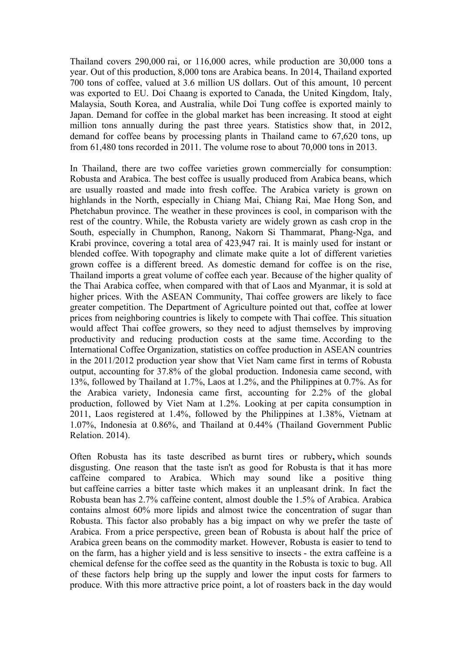Thailand covers 290,000 rai, or 116,000 acres, while production are 30,000 tons a year. Out of this production, 8,000 tons are Arabica beans. In 2014, Thailand exported 700 tons of coffee, valued at 3.6 million US dollars. Out of this amount, 10 percent was exported to EU. Doi Chaang is exported to Canada, the United Kingdom, Italy, Malaysia, South Korea, and Australia, while Doi Tung coffee is exported mainly to Japan. Demand for coffee in the global market has been increasing. It stood at eight million tons annually during the past three years. Statistics show that, in 2012, demand for coffee beans by processing plants in Thailand came to 67,620 tons, up from 61,480 tons recorded in 2011. The volume rose to about 70,000 tons in 2013.

In Thailand, there are two coffee varieties grown commercially for consumption: Robusta and Arabica. The best coffee is usually produced from Arabica beans, which are usually roasted and made into fresh coffee. The Arabica variety is grown on highlands in the North, especially in Chiang Mai, Chiang Rai, Mae Hong Son, and Phetchabun province. The weather in these provinces is cool, in comparison with the rest of the country. While, the Robusta variety are widely grown as cash crop in the South, especially in Chumphon, Ranong, Nakorn Si Thammarat, Phang-Nga, and Krabi province, covering a total area of 423,947 rai. It is mainly used for instant or blended coffee. With topography and climate make quite a lot of different varieties grown coffee is a different breed. As domestic demand for coffee is on the rise, Thailand imports a great volume of coffee each year. Because of the higher quality of the Thai Arabica coffee, when compared with that of Laos and Myanmar, it is sold at higher prices. With the ASEAN Community, Thai coffee growers are likely to face greater competition. The Department of Agriculture pointed out that, coffee at lower prices from neighboring countries is likely to compete with Thai coffee. This situation would affect Thai coffee growers, so they need to adjust themselves by improving productivity and reducing production costs at the same time. According to the International Coffee Organization, statistics on coffee production in ASEAN countries in the 2011/2012 production year show that Viet Nam came first in terms of Robusta output, accounting for 37.8% of the global production. Indonesia came second, with 13%, followed by Thailand at 1.7%, Laos at 1.2%, and the Philippines at 0.7%. As for the Arabica variety, Indonesia came first, accounting for 2.2% of the global production, followed by Viet Nam at 1.2%. Looking at per capita consumption in 2011, Laos registered at 1.4%, followed by the Philippines at 1.38%, Vietnam at 1.07%, Indonesia at 0.86%, and Thailand at 0.44% (Thailand Government Public Relation. 2014).

Often Robusta has its taste described as burnt tires or rubbery**,** which sounds disgusting. One reason that the taste isn't as good for Robusta is that it has more caffeine compared to Arabica. Which may sound like a positive thing but caffeine carries a bitter taste which makes it an unpleasant drink. In fact the Robusta bean has 2.7% caffeine content, almost double the 1.5% of Arabica. Arabica contains almost 60% more lipids and almost twice the concentration of sugar than Robusta. This factor also probably has a big impact on why we prefer the taste of Arabica. From a price perspective, green bean of Robusta is about half the price of Arabica green beans on the commodity market. However, Robusta is easier to tend to on the farm, has a higher yield and is less sensitive to insects - the extra caffeine is a chemical defense for the coffee seed as the quantity in the Robusta is toxic to bug. All of these factors help bring up the supply and lower the input costs for farmers to produce. With this more attractive price point, a lot of roasters back in the day would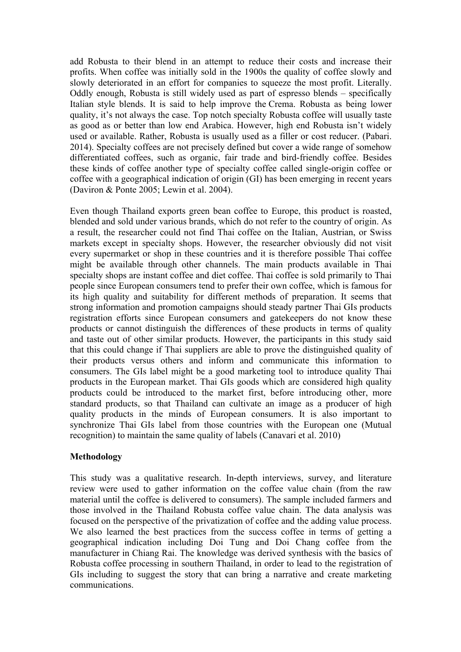add Robusta to their blend in an attempt to reduce their costs and increase their profits. When coffee was initially sold in the 1900s the quality of coffee slowly and slowly deteriorated in an effort for companies to squeeze the most profit. Literally. Oddly enough, Robusta is still widely used as part of espresso blends – specifically Italian style blends. It is said to help improve the Crema. Robusta as being lower quality, it's not always the case. Top notch specialty Robusta coffee will usually taste as good as or better than low end Arabica. However, high end Robusta isn't widely used or available. Rather, Robusta is usually used as a filler or cost reducer. (Pabari. 2014). Specialty coffees are not precisely defined but cover a wide range of somehow differentiated coffees, such as organic, fair trade and bird-friendly coffee. Besides these kinds of coffee another type of specialty coffee called single-origin coffee or coffee with a geographical indication of origin (GI) has been emerging in recent years (Daviron & Ponte 2005; Lewin et al. 2004).

Even though Thailand exports green bean coffee to Europe, this product is roasted, blended and sold under various brands, which do not refer to the country of origin. As a result, the researcher could not find Thai coffee on the Italian, Austrian, or Swiss markets except in specialty shops. However, the researcher obviously did not visit every supermarket or shop in these countries and it is therefore possible Thai coffee might be available through other channels. The main products available in Thai specialty shops are instant coffee and diet coffee. Thai coffee is sold primarily to Thai people since European consumers tend to prefer their own coffee, which is famous for its high quality and suitability for different methods of preparation. It seems that strong information and promotion campaigns should steady partner Thai GIs products registration efforts since European consumers and gatekeepers do not know these products or cannot distinguish the differences of these products in terms of quality and taste out of other similar products. However, the participants in this study said that this could change if Thai suppliers are able to prove the distinguished quality of their products versus others and inform and communicate this information to consumers. The GIs label might be a good marketing tool to introduce quality Thai products in the European market. Thai GIs goods which are considered high quality products could be introduced to the market first, before introducing other, more standard products, so that Thailand can cultivate an image as a producer of high quality products in the minds of European consumers. It is also important to synchronize Thai GIs label from those countries with the European one (Mutual recognition) to maintain the same quality of labels (Canavari et al. 2010)

# **Methodology**

This study was a qualitative research. In-depth interviews, survey, and literature review were used to gather information on the coffee value chain (from the raw material until the coffee is delivered to consumers). The sample included farmers and those involved in the Thailand Robusta coffee value chain. The data analysis was focused on the perspective of the privatization of coffee and the adding value process. We also learned the best practices from the success coffee in terms of getting a geographical indication including Doi Tung and Doi Chang coffee from the manufacturer in Chiang Rai. The knowledge was derived synthesis with the basics of Robusta coffee processing in southern Thailand, in order to lead to the registration of GIs including to suggest the story that can bring a narrative and create marketing communications.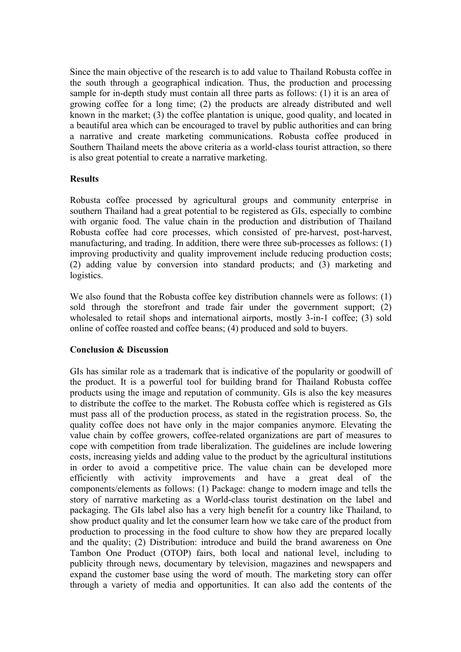Since the main objective of the research is to add value to Thailand Robusta coffee in the south through a geographical indication. Thus, the production and processing sample for in-depth study must contain all three parts as follows: (1) it is an area of growing coffee for a long time; (2) the products are already distributed and well known in the market; (3) the coffee plantation is unique, good quality, and located in a beautiful area which can be encouraged to travel by public authorities and can bring a narrative and create marketing communications. Robusta coffee produced in Southern Thailand meets the above criteria as a world-class tourist attraction, so there is also great potential to create a narrative marketing.

# **Results**

Robusta coffee processed by agricultural groups and community enterprise in southern Thailand had a great potential to be registered as GIs, especially to combine with organic food. The value chain in the production and distribution of Thailand Robusta coffee had core processes, which consisted of pre-harvest, post-harvest, manufacturing, and trading. In addition, there were three sub-processes as follows: (1) improving productivity and quality improvement include reducing production costs; (2) adding value by conversion into standard products; and (3) marketing and logistics.

We also found that the Robusta coffee key distribution channels were as follows: (1) sold through the storefront and trade fair under the government support; (2) wholesaled to retail shops and international airports, mostly 3-in-1 coffee; (3) sold online of coffee roasted and coffee beans; (4) produced and sold to buyers.

#### **Conclusion & Discussion**

GIs has similar role as a trademark that is indicative of the popularity or goodwill of the product. It is a powerful tool for building brand for Thailand Robusta coffee products using the image and reputation of community. GIs is also the key measures to distribute the coffee to the market. The Robusta coffee which is registered as GIs must pass all of the production process, as stated in the registration process. So, the quality coffee does not have only in the major companies anymore. Elevating the value chain by coffee growers, coffee-related organizations are part of measures to cope with competition from trade liberalization. The guidelines are include lowering costs, increasing yields and adding value to the product by the agricultural institutions in order to avoid a competitive price. The value chain can be developed more efficiently with activity improvements and have a great deal of the components/elements as follows: (1) Package: change to modern image and tells the story of narrative marketing as a World-class tourist destination on the label and packaging. The GIs label also has a very high benefit for a country like Thailand, to show product quality and let the consumer learn how we take care of the product from production to processing in the food culture to show how they are prepared locally and the quality; (2) Distribution: introduce and build the brand awareness on One Tambon One Product (OTOP) fairs, both local and national level, including to publicity through news, documentary by television, magazines and newspapers and expand the customer base using the word of mouth. The marketing story can offer through a variety of media and opportunities. It can also add the contents of the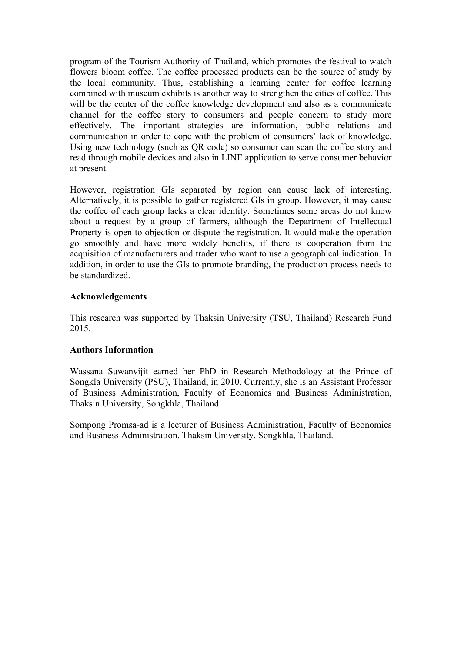program of the Tourism Authority of Thailand, which promotes the festival to watch flowers bloom coffee. The coffee processed products can be the source of study by the local community. Thus, establishing a learning center for coffee learning combined with museum exhibits is another way to strengthen the cities of coffee. This will be the center of the coffee knowledge development and also as a communicate channel for the coffee story to consumers and people concern to study more effectively. The important strategies are information, public relations and communication in order to cope with the problem of consumers' lack of knowledge. Using new technology (such as QR code) so consumer can scan the coffee story and read through mobile devices and also in LINE application to serve consumer behavior at present.

However, registration GIs separated by region can cause lack of interesting. Alternatively, it is possible to gather registered GIs in group. However, it may cause the coffee of each group lacks a clear identity. Sometimes some areas do not know about a request by a group of farmers, although the Department of Intellectual Property is open to objection or dispute the registration. It would make the operation go smoothly and have more widely benefits, if there is cooperation from the acquisition of manufacturers and trader who want to use a geographical indication. In addition, in order to use the GIs to promote branding, the production process needs to be standardized.

# **Acknowledgements**

This research was supported by Thaksin University (TSU, Thailand) Research Fund 2015.

#### **Authors Information**

Wassana Suwanvijit earned her PhD in Research Methodology at the Prince of Songkla University (PSU), Thailand, in 2010. Currently, she is an Assistant Professor of Business Administration, Faculty of Economics and Business Administration, Thaksin University, Songkhla, Thailand.

Sompong Promsa-ad is a lecturer of Business Administration, Faculty of Economics and Business Administration, Thaksin University, Songkhla, Thailand.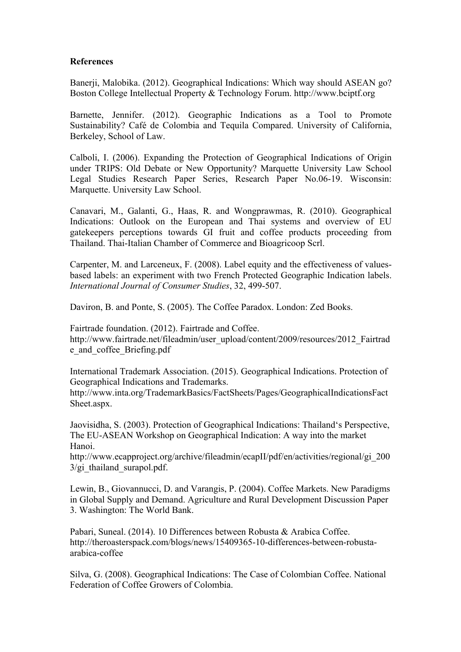#### **References**

Banerji, Malobika. (2012). Geographical Indications: Which way should ASEAN go? Boston College Intellectual Property & Technology Forum. http://www.bciptf.org

Barnette, Jennifer. (2012). Geographic Indications as a Tool to Promote Sustainability? Café de Colombia and Tequila Compared. University of California, Berkeley, School of Law.

Calboli, I. (2006). Expanding the Protection of Geographical Indications of Origin under TRIPS: Old Debate or New Opportunity? Marquette University Law School Legal Studies Research Paper Series, Research Paper No.06-19. Wisconsin: Marquette. University Law School.

Canavari, M., Galanti, G., Haas, R. and Wongprawmas, R. (2010). Geographical Indications: Outlook on the European and Thai systems and overview of EU gatekeepers perceptions towards GI fruit and coffee products proceeding from Thailand. Thai-Italian Chamber of Commerce and Bioagricoop Scrl.

Carpenter, M. and Larceneux, F. (2008). Label equity and the effectiveness of valuesbased labels: an experiment with two French Protected Geographic Indication labels. *International Journal of Consumer Studies*, 32, 499-507.

Daviron, B. and Ponte, S. (2005). The Coffee Paradox. London: Zed Books.

Fairtrade foundation. (2012). Fairtrade and Coffee. http://www.fairtrade.net/fileadmin/user\_upload/content/2009/resources/2012\_Fairtrad e\_and\_coffee\_Briefing.pdf

International Trademark Association. (2015). Geographical Indications. Protection of Geographical Indications and Trademarks.

http://www.inta.org/TrademarkBasics/FactSheets/Pages/GeographicalIndicationsFact Sheet.aspx.

Jaovisidha, S. (2003). Protection of Geographical Indications: Thailand's Perspective, The EU-ASEAN Workshop on Geographical Indication: A way into the market Hanoi.

http://www.ecapproject.org/archive/fileadmin/ecapII/pdf/en/activities/regional/gi\_200  $3$ /gi thailand surapol.pdf.

Lewin, B., Giovannucci, D. and Varangis, P. (2004). Coffee Markets. New Paradigms in Global Supply and Demand. Agriculture and Rural Development Discussion Paper 3. Washington: The World Bank.

Pabari, Suneal. (2014). 10 Differences between Robusta & Arabica Coffee. http://theroasterspack.com/blogs/news/15409365-10-differences-between-robustaarabica-coffee

Silva, G. (2008). Geographical Indications: The Case of Colombian Coffee. National Federation of Coffee Growers of Colombia.